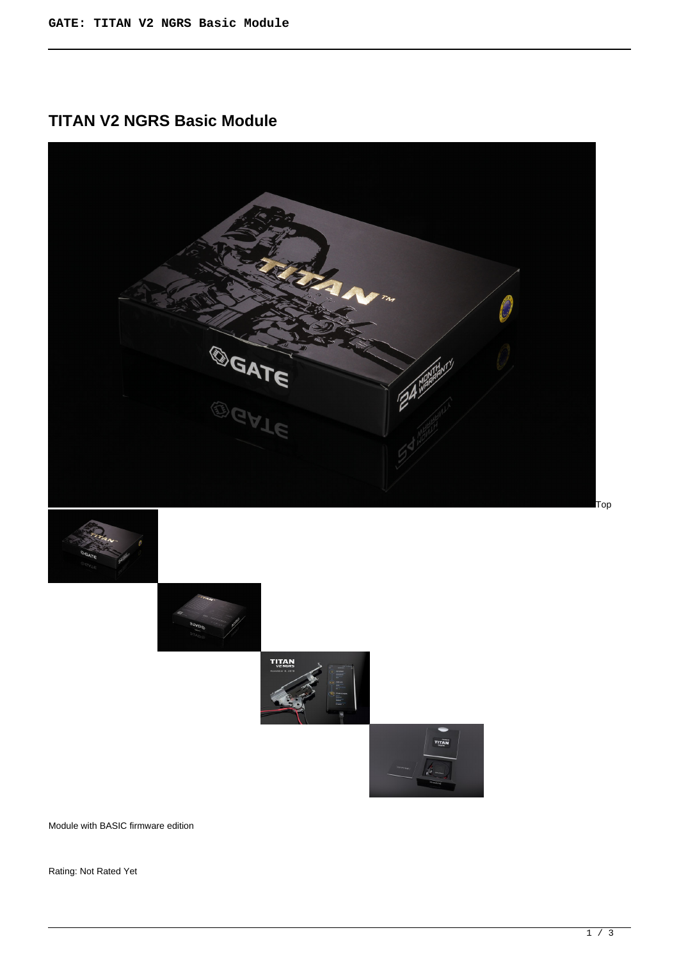# **TITAN V2 NGRS Basic Module**











Module with BASIC firmware edition

Rating: Not Rated Yet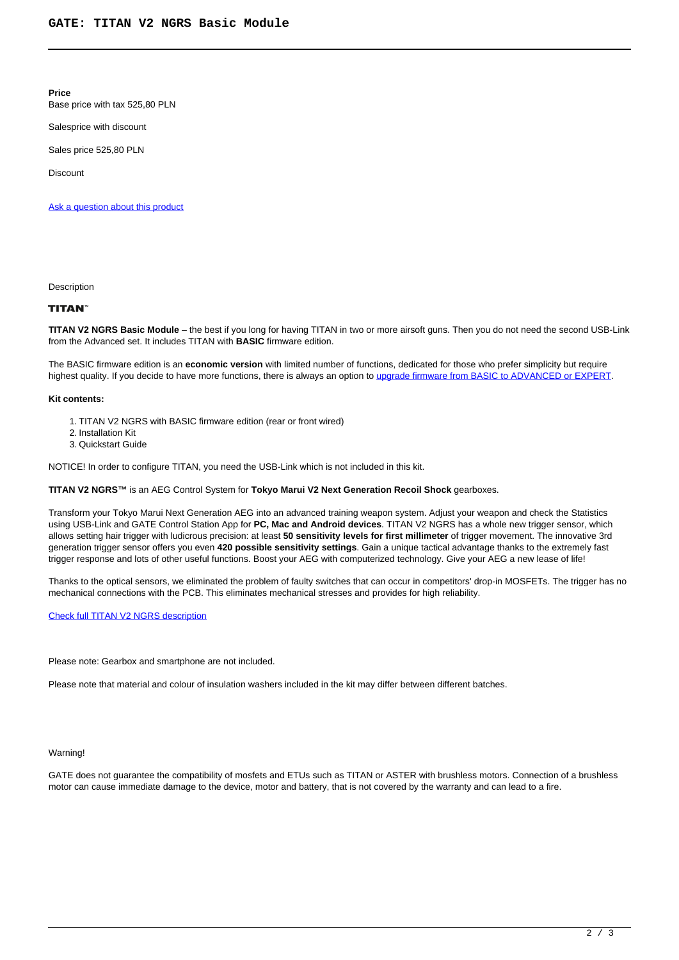**Price** 

Base price with tax 525,80 PLN

Salesprice with discount

Sales price 525,80 PLN

Discount

[Ask a question about this product](https://gatee.eu/index.php?option=com_virtuemart&view=productdetails&task=askquestion&virtuemart_product_id=49&virtuemart_category_id=1&tmpl=component)

**Description** 

# **TITAN**

**TITAN V2 NGRS Basic Module** – the best if you long for having TITAN in two or more airsoft guns. Then you do not need the second USB-Link from the Advanced set. It includes TITAN with **BASIC** firmware edition.

The BASIC firmware edition is an **economic version** with limited number of functions, dedicated for those who prefer simplicity but require highest quality. If you decide to have more functions, there is always an option to [upgrade firmware from BASIC to ADVANCED or EXPERT](editions).

#### **Kit contents:**

1. TITAN V2 NGRS with BASIC firmware edition (rear or front wired)

- 2. Installation Kit
- 3. Quickstart Guide

NOTICE! In order to configure TITAN, you need the USB-Link which is not included in this kit.

**TITAN V2 NGRS™** is an AEG Control System for **Tokyo Marui V2 Next Generation Recoil Shock** gearboxes.

Transform your Tokyo Marui Next Generation AEG into an advanced training weapon system. Adjust your weapon and check the Statistics using USB-Link and GATE Control Station App for **PC, Mac and Android devices**. TITAN V2 NGRS has a whole new trigger sensor, which allows setting hair trigger with ludicrous precision: at least **50 sensitivity levels for first millimeter** of trigger movement. The innovative 3rd generation trigger sensor offers you even **420 possible sensitivity settings**. Gain a unique tactical advantage thanks to the extremely fast trigger response and lots of other useful functions. Boost your AEG with computerized technology. Give your AEG a new lease of life!

Thanks to the optical sensors, we eliminated the problem of faulty switches that can occur in competitors' drop-in MOSFETs. The trigger has no mechanical connections with the PCB. This eliminates mechanical stresses and provides for high reliability.

### [Check full TITAN V2 NGRS description](ttn-v2-ngrs)

Please note: Gearbox and smartphone are not included.

Please note that material and colour of insulation washers included in the kit may differ between different batches.

#### Warning!

GATE does not guarantee the compatibility of mosfets and ETUs such as TITAN or ASTER with brushless motors. Connection of a brushless motor can cause immediate damage to the device, motor and battery, that is not covered by the warranty and can lead to a fire.